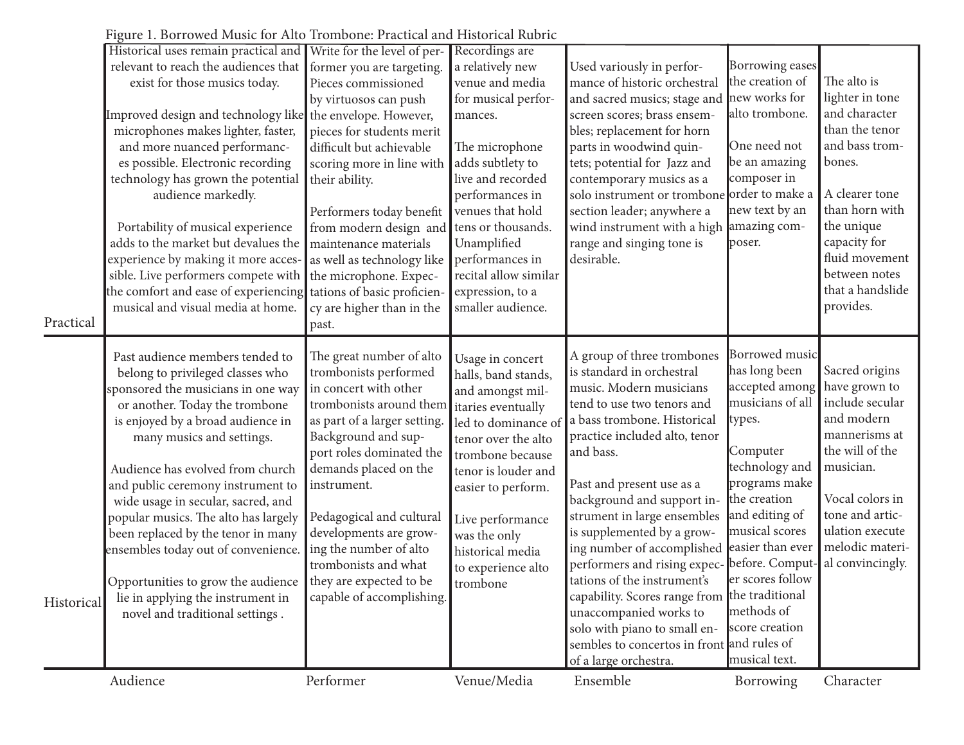|            | ure 1. Borrowed mashe for the Trompone. I ractical al<br>Historical uses remain practical and | Write for the level of per-               | Recordings are        |                                               |                  |                  |
|------------|-----------------------------------------------------------------------------------------------|-------------------------------------------|-----------------------|-----------------------------------------------|------------------|------------------|
|            |                                                                                               |                                           |                       |                                               | Borrowing eases  |                  |
|            | relevant to reach the audiences that                                                          | former you are targeting.                 | a relatively new      | Used variously in perfor-                     | the creation of  | The alto is      |
|            | exist for those musics today.                                                                 | Pieces commissioned                       | venue and media       | mance of historic orchestral                  |                  |                  |
|            |                                                                                               | by virtuosos can push                     | for musical perfor-   | and sacred musics; stage and                  | new works for    | lighter in tone  |
|            | Improved design and technology like the envelope. However,                                    |                                           | mances.               | screen scores; brass ensem-                   | alto trombone.   | and character    |
|            | microphones makes lighter, faster,                                                            | pieces for students merit                 |                       | bles; replacement for horn                    |                  | than the tenor   |
|            | and more nuanced performanc-                                                                  | difficult but achievable                  | The microphone        | parts in woodwind quin-                       | One need not     | and bass trom-   |
|            | es possible. Electronic recording                                                             | scoring more in line with                 | adds subtlety to      | tets; potential for Jazz and                  | be an amazing    | bones.           |
|            | technology has grown the potential                                                            | their ability.                            | live and recorded     | contemporary musics as a                      | composer in      |                  |
|            | audience markedly.                                                                            |                                           | performances in       | solo instrument or trombone                   | order to make a  | A clearer tone   |
|            |                                                                                               | Performers today benefit                  | venues that hold      | section leader; anywhere a                    | new text by an   | than horn with   |
|            | Portability of musical experience                                                             | from modern design and tens or thousands. |                       | wind instrument with a high                   | amazing com-     | the unique       |
|            | adds to the market but devalues the                                                           | maintenance materials                     | Unamplified           | range and singing tone is                     | poser.           | capacity for     |
|            | experience by making it more acces-                                                           | as well as technology like                | performances in       | desirable.                                    |                  | fluid movement   |
|            | sible. Live performers compete with                                                           | the microphone. Expec-                    | recital allow similar |                                               |                  | between notes    |
|            | the comfort and ease of experiencing tations of basic proficien-                              |                                           | expression, to a      |                                               |                  | that a handslide |
|            | musical and visual media at home.                                                             |                                           | smaller audience.     |                                               |                  | provides.        |
| Practical  |                                                                                               | cy are higher than in the                 |                       |                                               |                  |                  |
|            |                                                                                               | past.                                     |                       |                                               |                  |                  |
|            |                                                                                               |                                           |                       |                                               |                  |                  |
|            | Past audience members tended to                                                               | The great number of alto                  | Usage in concert      | A group of three trombones                    | Borrowed music   |                  |
|            |                                                                                               |                                           |                       |                                               |                  |                  |
|            | belong to privileged classes who                                                              | trombonists performed                     | halls, band stands,   | is standard in orchestral                     | has long been    | Sacred origins   |
|            | sponsored the musicians in one way                                                            | in concert with other                     | and amongst mil-      | music. Modern musicians                       | accepted among   | have grown to    |
|            | or another. Today the trombone                                                                | trombonists around them                   | itaries eventually    | tend to use two tenors and                    | musicians of all | include secular  |
|            | is enjoyed by a broad audience in                                                             | as part of a larger setting.              | led to dominance of   | a bass trombone. Historical                   | types.           | and modern       |
|            | many musics and settings.                                                                     | Background and sup-                       | tenor over the alto   | practice included alto, tenor                 |                  | mannerisms at    |
|            |                                                                                               | port roles dominated the                  |                       | and bass.                                     | Computer         | the will of the  |
|            |                                                                                               |                                           | trombone because      |                                               | technology and   | musician.        |
|            | Audience has evolved from church                                                              | demands placed on the                     | tenor is louder and   |                                               | programs make    |                  |
|            | and public ceremony instrument to                                                             | instrument.                               | easier to perform.    | Past and present use as a                     |                  | Vocal colors in  |
|            | wide usage in secular, sacred, and                                                            |                                           |                       | background and support in-                    | the creation     |                  |
|            | popular musics. The alto has largely                                                          | Pedagogical and cultural                  | Live performance      | strument in large ensembles                   | and editing of   | tone and artic-  |
|            | been replaced by the tenor in many                                                            | developments are grow-                    | was the only          | is supplemented by a grow-                    | musical scores   | ulation execute  |
|            | ensembles today out of convenience.                                                           | ing the number of alto                    | historical media      | ing number of accomplished                    | easier than ever | melodic materi-  |
|            |                                                                                               | trombonists and what                      | to experience alto    | performers and rising expec- before. Comput-  |                  | al convincingly. |
|            | Opportunities to grow the audience they are expected to be                                    |                                           | trombone              | tations of the instrument's                   | er scores follow |                  |
| Historical | lie in applying the instrument in                                                             | capable of accomplishing.                 |                       | capability. Scores range from the traditional |                  |                  |
|            | novel and traditional settings.                                                               |                                           |                       | unaccompanied works to                        | methods of       |                  |
|            |                                                                                               |                                           |                       | solo with piano to small en-                  | score creation   |                  |
|            |                                                                                               |                                           |                       | sembles to concertos in front and rules of    |                  |                  |
|            |                                                                                               |                                           |                       | of a large orchestra.                         | musical text.    |                  |

Figure 1. Borrowed Music for Alto Trombone: Practical and Historical Rubric